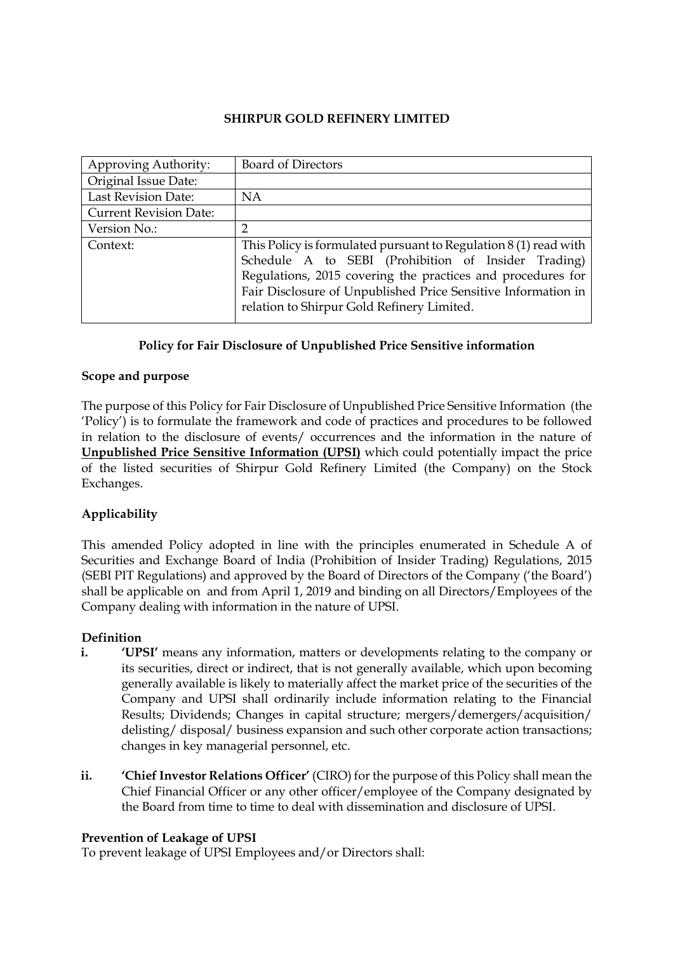### SHIRPUR GOLD REFINERY LIMITED

| Approving Authority:          | Board of Directors                                                                                                                                                                                                                                                                                     |
|-------------------------------|--------------------------------------------------------------------------------------------------------------------------------------------------------------------------------------------------------------------------------------------------------------------------------------------------------|
| Original Issue Date:          |                                                                                                                                                                                                                                                                                                        |
| <b>Last Revision Date:</b>    | <b>NA</b>                                                                                                                                                                                                                                                                                              |
| <b>Current Revision Date:</b> |                                                                                                                                                                                                                                                                                                        |
| Version No.:                  |                                                                                                                                                                                                                                                                                                        |
| Context:                      | This Policy is formulated pursuant to Regulation $8(1)$ read with<br>Schedule A to SEBI (Prohibition of Insider Trading)<br>Regulations, 2015 covering the practices and procedures for<br>Fair Disclosure of Unpublished Price Sensitive Information in<br>relation to Shirpur Gold Refinery Limited. |

### Policy for Fair Disclosure of Unpublished Price Sensitive information

### Scope and purpose

The purpose of this Policy for Fair Disclosure of Unpublished Price Sensitive Information (the 'Policy') is to formulate the framework and code of practices and procedures to be followed in relation to the disclosure of events/ occurrences and the information in the nature of Unpublished Price Sensitive Information (UPSI) which could potentially impact the price of the listed securities of Shirpur Gold Refinery Limited (the Company) on the Stock Exchanges.

## Applicability

This amended Policy adopted in line with the principles enumerated in Schedule A of Securities and Exchange Board of India (Prohibition of Insider Trading) Regulations, 2015 (SEBI PIT Regulations) and approved by the Board of Directors of the Company ('the Board') shall be applicable on and from April 1, 2019 and binding on all Directors/Employees of the Company dealing with information in the nature of UPSI.

#### Definition

- i. 'UPSI' means any information, matters or developments relating to the company or its securities, direct or indirect, that is not generally available, which upon becoming generally available is likely to materially affect the market price of the securities of the Company and UPSI shall ordinarily include information relating to the Financial Results; Dividends; Changes in capital structure; mergers/demergers/acquisition/ delisting/ disposal/ business expansion and such other corporate action transactions; changes in key managerial personnel, etc.
- ii. 'Chief Investor Relations Officer' (CIRO) for the purpose of this Policy shall mean the Chief Financial Officer or any other officer/employee of the Company designated by the Board from time to time to deal with dissemination and disclosure of UPSI.

#### Prevention of Leakage of UPSI

To prevent leakage of UPSI Employees and/or Directors shall: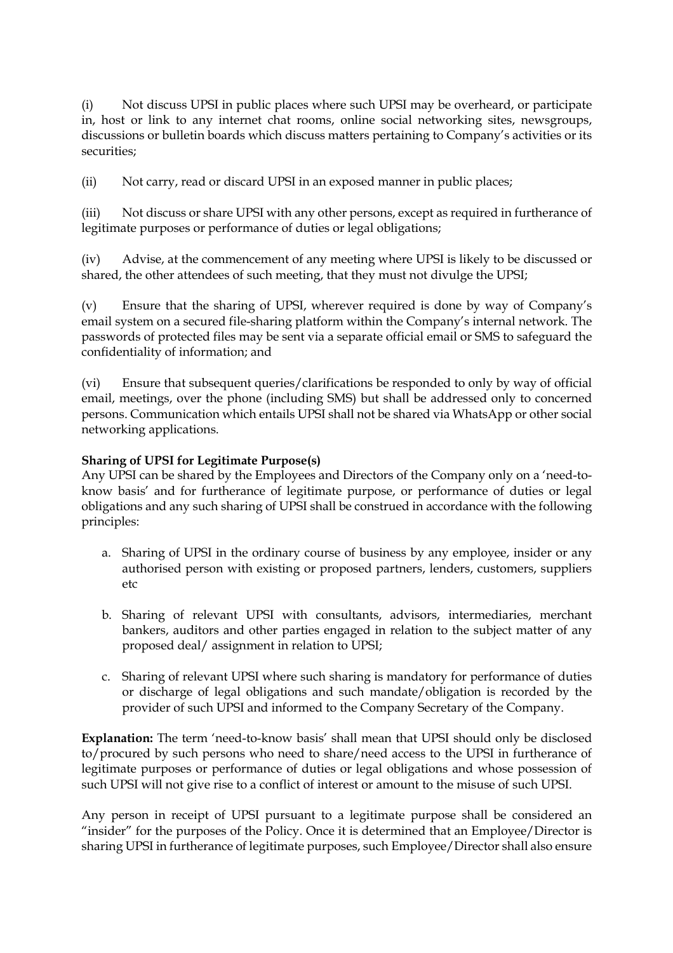(i) Not discuss UPSI in public places where such UPSI may be overheard, or participate in, host or link to any internet chat rooms, online social networking sites, newsgroups, discussions or bulletin boards which discuss matters pertaining to Company's activities or its securities;

(ii) Not carry, read or discard UPSI in an exposed manner in public places;

(iii) Not discuss or share UPSI with any other persons, except as required in furtherance of legitimate purposes or performance of duties or legal obligations;

(iv) Advise, at the commencement of any meeting where UPSI is likely to be discussed or shared, the other attendees of such meeting, that they must not divulge the UPSI;

(v) Ensure that the sharing of UPSI, wherever required is done by way of Company's email system on a secured file-sharing platform within the Company's internal network. The passwords of protected files may be sent via a separate official email or SMS to safeguard the confidentiality of information; and

(vi) Ensure that subsequent queries/clarifications be responded to only by way of official email, meetings, over the phone (including SMS) but shall be addressed only to concerned persons. Communication which entails UPSI shall not be shared via WhatsApp or other social networking applications.

## Sharing of UPSI for Legitimate Purpose(s)

Any UPSI can be shared by the Employees and Directors of the Company only on a 'need-toknow basis' and for furtherance of legitimate purpose, or performance of duties or legal obligations and any such sharing of UPSI shall be construed in accordance with the following principles:

- a. Sharing of UPSI in the ordinary course of business by any employee, insider or any authorised person with existing or proposed partners, lenders, customers, suppliers etc
- b. Sharing of relevant UPSI with consultants, advisors, intermediaries, merchant bankers, auditors and other parties engaged in relation to the subject matter of any proposed deal/ assignment in relation to UPSI;
- c. Sharing of relevant UPSI where such sharing is mandatory for performance of duties or discharge of legal obligations and such mandate/obligation is recorded by the provider of such UPSI and informed to the Company Secretary of the Company.

Explanation: The term 'need-to-know basis' shall mean that UPSI should only be disclosed to/procured by such persons who need to share/need access to the UPSI in furtherance of legitimate purposes or performance of duties or legal obligations and whose possession of such UPSI will not give rise to a conflict of interest or amount to the misuse of such UPSI.

Any person in receipt of UPSI pursuant to a legitimate purpose shall be considered an "insider" for the purposes of the Policy. Once it is determined that an Employee/Director is sharing UPSI in furtherance of legitimate purposes, such Employee/Director shall also ensure